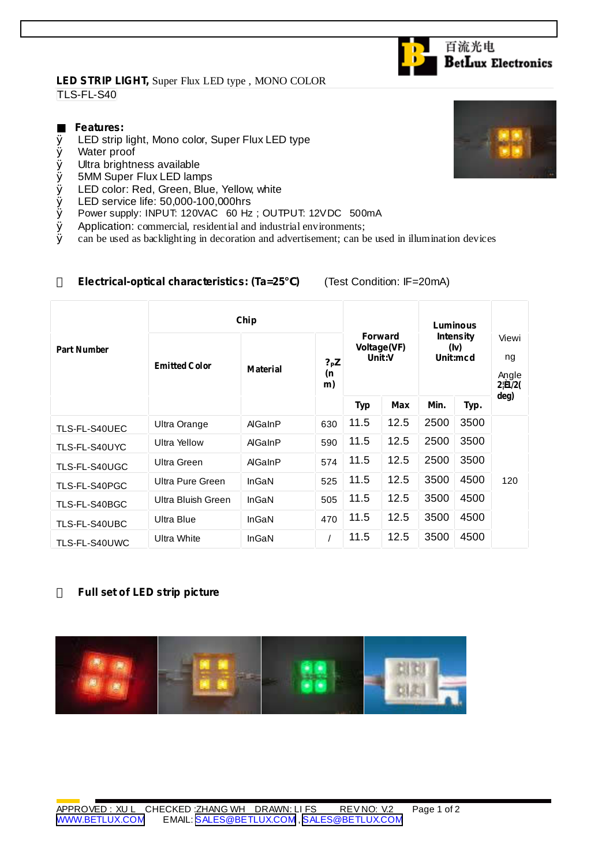### **LED STRIP LIGHT,** Super Flux LED type , MONO COLOR TLS-FL-S40

### **Features:**

- Ø LED strip light, Mono color, Super Flux LED type
- Ø Water proof
- Ø Ultra brightness available
- Ø 5MM Super Flux LED lamps
- Ø LED color: Red, Green, Blue, Yellow, white
- $\emptyset$  LED service life: 50,000-100,000hrs<br> $\emptyset$  Power supply: INPUT: 120VAC 60 Hz
- Power supply: INPUT: 120VAC 60 Hz; OUTPUT: 12VDC 500mA
- $\emptyset$  Application: commercial, residential and industrial environments;<br> $\emptyset$  can be used as backlighting in decoration and advertisement: can b
- Ø can be used as backlighting in decoration and advertisement; can be used in illumination devices

### **Electrical-optical characteristics: (Ta=25 )** (Test Condition: IF=20mA)

|                    | Chip                 |                 |                       |                                         |            | Luminous                             |      |                                                 |
|--------------------|----------------------|-----------------|-----------------------|-----------------------------------------|------------|--------------------------------------|------|-------------------------------------------------|
| <b>Part Number</b> | <b>Emitted Color</b> | <b>Material</b> | $?$ P $Z$<br>(n<br>m) | <b>Forward</b><br>Voltage(VF)<br>Unit:V |            | <b>Intensity</b><br>(lv)<br>Unit:mcd |      | Viewi<br>ng<br>Angle<br>$2!\mathbf{\hat{H}}/2($ |
|                    |                      |                 |                       | <b>Typ</b>                              | <b>Max</b> | Min.                                 | Typ. | deg)                                            |
| TLS-FL-S40UEC      | Ultra Orange         | AlGaInP         | 630                   | 11.5                                    | 12.5       | 2500                                 | 3500 |                                                 |
| TLS-FL-S40UYC      | <b>Ultra Yellow</b>  | AlGaInP         | 590                   | 11.5                                    | 12.5       | 2500                                 | 3500 |                                                 |
| TLS-FL-S40UGC      | Ultra Green          | AlGaInP         | 574                   | 11.5                                    | 12.5       | 2500                                 | 3500 |                                                 |
| TLS-FL-S40PGC      | Ultra Pure Green     | InGaN           | 525                   | 11.5                                    | 12.5       | 3500                                 | 4500 | 120                                             |
| TLS-FL-S40BGC      | Ultra Bluish Green   | InGaN           | 505                   | 11.5                                    | 12.5       | 3500                                 | 4500 |                                                 |
| TLS-FL-S40UBC      | Ultra Blue           | <b>InGaN</b>    | 470                   | 11.5                                    | 12.5       | 3500                                 | 4500 |                                                 |
| TLS-FL-S40UWC      | <b>Ultra White</b>   | InGaN           |                       | 11.5                                    | 12.5       | 3500                                 | 4500 |                                                 |

## **Full set of LED strip picture**